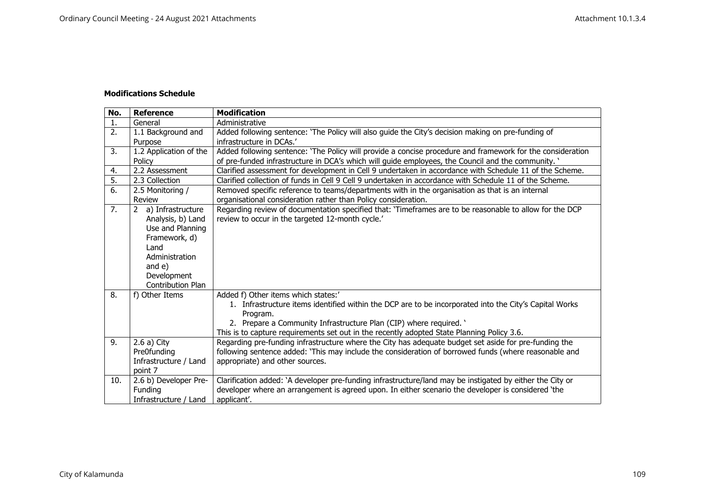## **Modifications Schedule**

| No. | <b>Reference</b>                                                                                                                                                | <b>Modification</b>                                                                                                                                                                                                                                                                                                           |
|-----|-----------------------------------------------------------------------------------------------------------------------------------------------------------------|-------------------------------------------------------------------------------------------------------------------------------------------------------------------------------------------------------------------------------------------------------------------------------------------------------------------------------|
| 1.  | General                                                                                                                                                         | Administrative                                                                                                                                                                                                                                                                                                                |
| 2.  | 1.1 Background and<br>Purpose                                                                                                                                   | Added following sentence: 'The Policy will also guide the City's decision making on pre-funding of<br>infrastructure in DCAs.'                                                                                                                                                                                                |
| 3.  | 1.2 Application of the<br>Policy                                                                                                                                | Added following sentence: 'The Policy will provide a concise procedure and framework for the consideration<br>of pre-funded infrastructure in DCA's which will guide employees, the Council and the community. '                                                                                                              |
| 4.  | 2.2 Assessment                                                                                                                                                  | Clarified assessment for development in Cell 9 undertaken in accordance with Schedule 11 of the Scheme.                                                                                                                                                                                                                       |
| 5.  | 2.3 Collection                                                                                                                                                  | Clarified collection of funds in Cell 9 Cell 9 undertaken in accordance with Schedule 11 of the Scheme.                                                                                                                                                                                                                       |
| 6.  | 2.5 Monitoring /<br>Review                                                                                                                                      | Removed specific reference to teams/departments with in the organisation as that is an internal<br>organisational consideration rather than Policy consideration.                                                                                                                                                             |
| 7.  | 2 a) Infrastructure<br>Analysis, b) Land<br>Use and Planning<br>Framework, d)<br>Land<br>Administration<br>and $e$ )<br>Development<br><b>Contribution Plan</b> | Regarding review of documentation specified that: 'Timeframes are to be reasonable to allow for the DCP<br>review to occur in the targeted 12-month cycle.'                                                                                                                                                                   |
| 8.  | f) Other Items                                                                                                                                                  | Added f) Other items which states:'<br>1. Infrastructure items identified within the DCP are to be incorporated into the City's Capital Works<br>Program.<br>2. Prepare a Community Infrastructure Plan (CIP) where required. '<br>This is to capture requirements set out in the recently adopted State Planning Policy 3.6. |
| 9.  | $2.6a)$ City<br>Pre0funding<br>Infrastructure / Land<br>point 7                                                                                                 | Regarding pre-funding infrastructure where the City has adequate budget set aside for pre-funding the<br>following sentence added: 'This may include the consideration of borrowed funds (where reasonable and<br>appropriate) and other sources.                                                                             |
| 10. | 2.6 b) Developer Pre-<br>Funding<br>Infrastructure / Land                                                                                                       | Clarification added: `A developer pre-funding infrastructure/land may be instigated by either the City or<br>developer where an arrangement is agreed upon. In either scenario the developer is considered 'the<br>applicant'.                                                                                                |